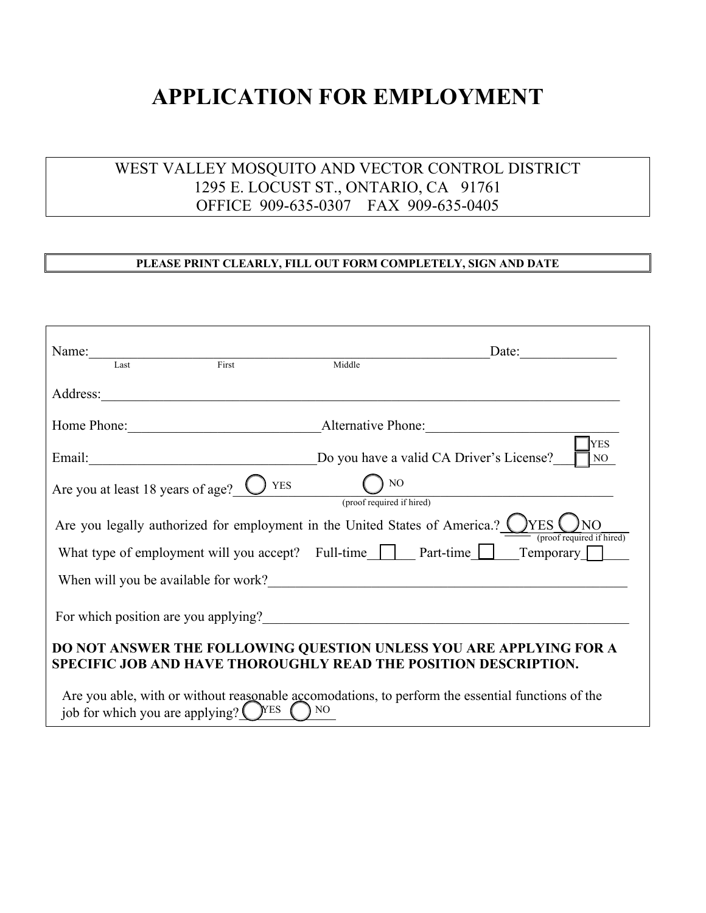## **APPLICATION FOR EMPLOYMENT**

## WEST VALLEY MOSQUITO AND VECTOR CONTROL DISTRICT 1295 E. LOCUST ST., ONTARIO, CA 91761 OFFICE 909-635-0307 FAX 909-635-0405

## **PLEASE PRINT CLEARLY, FILL OUT FORM COMPLETELY, SIGN AND DATE**

| Name:                             |                                                                                |                                 | Date:                                                                                                                                 |  |
|-----------------------------------|--------------------------------------------------------------------------------|---------------------------------|---------------------------------------------------------------------------------------------------------------------------------------|--|
| Last                              | First                                                                          | Middle                          |                                                                                                                                       |  |
| Address:                          |                                                                                |                                 |                                                                                                                                       |  |
| Home Phone:                       | Alternative Phone:                                                             |                                 |                                                                                                                                       |  |
| Email:                            | <u> 1988 - Johann John Stein, marwolaethau (b. 1988)</u>                       |                                 | <b>YES</b><br>Do you have a valid CA Driver's License?<br>NO.                                                                         |  |
| Are you at least 18 years of age? | $\sum$ YES                                                                     | NO<br>(proof required if hired) |                                                                                                                                       |  |
|                                   | Are you legally authorized for employment in the United States of America.?    |                                 | )YES<br>(proof required if hired)                                                                                                     |  |
|                                   | What type of employment will you accept? Full-time   Part-time                 |                                 | Temporary                                                                                                                             |  |
|                                   |                                                                                |                                 |                                                                                                                                       |  |
|                                   |                                                                                |                                 |                                                                                                                                       |  |
|                                   |                                                                                |                                 | DO NOT ANSWER THE FOLLOWING QUESTION UNLESS YOU ARE APPLYING FOR A<br>SPECIFIC JOB AND HAVE THOROUGHLY READ THE POSITION DESCRIPTION. |  |
|                                   | job for which you are applying? $\left(\right)$ <sup>YES</sup> $\left(\right)$ | NO <sub>1</sub>                 | Are you able, with or without reasonable accomodations, to perform the essential functions of the                                     |  |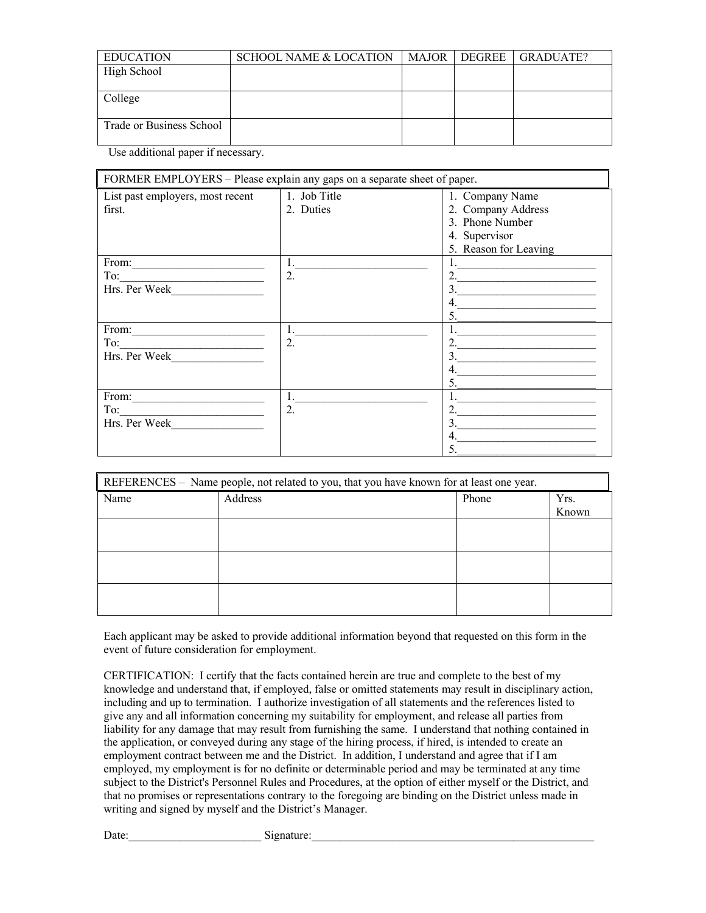| <b>EDUCATION</b>         | SCHOOL NAME & LOCATION | MAJOR | I DEGREE I | GRADUATE? |
|--------------------------|------------------------|-------|------------|-----------|
| High School              |                        |       |            |           |
|                          |                        |       |            |           |
| College                  |                        |       |            |           |
| Trade or Business School |                        |       |            |           |

Use additional paper if necessary.

| FORMER EMPLOYERS - Please explain any gaps on a separate sheet of paper. |                           |                                                                                                    |  |  |  |
|--------------------------------------------------------------------------|---------------------------|----------------------------------------------------------------------------------------------------|--|--|--|
| List past employers, most recent<br>first.                               | 1. Job Title<br>2. Duties | 1. Company Name<br>2. Company Address<br>3. Phone Number<br>4. Supervisor<br>5. Reason for Leaving |  |  |  |
| From: $\qquad \qquad$<br>To:<br>Hrs. Per Week                            | 1.<br>2.                  | 5.                                                                                                 |  |  |  |
| From:<br>To:<br>Hrs. Per Week                                            | 1.<br>2.                  | 3.<br>5.                                                                                           |  |  |  |
| From:<br>To:<br>Hrs. Per Week                                            | 1.<br>2.                  | 3.<br>4.<br>5                                                                                      |  |  |  |

| REFERENCES - Name people, not related to you, that you have known for at least one year. |         |       |       |  |  |
|------------------------------------------------------------------------------------------|---------|-------|-------|--|--|
| Name                                                                                     | Address | Phone | Yrs.  |  |  |
|                                                                                          |         |       | Known |  |  |
|                                                                                          |         |       |       |  |  |
|                                                                                          |         |       |       |  |  |
|                                                                                          |         |       |       |  |  |
|                                                                                          |         |       |       |  |  |
|                                                                                          |         |       |       |  |  |
|                                                                                          |         |       |       |  |  |
|                                                                                          |         |       |       |  |  |
|                                                                                          |         |       |       |  |  |
|                                                                                          |         |       |       |  |  |

Each applicant may be asked to provide additional information beyond that requested on this form in the event of future consideration for employment.

CERTIFICATION: I certify that the facts contained herein are true and complete to the best of my knowledge and understand that, if employed, false or omitted statements may result in disciplinary action, including and up to termination. I authorize investigation of all statements and the references listed to give any and all information concerning my suitability for employment, and release all parties from liability for any damage that may result from furnishing the same. I understand that nothing contained in the application, or conveyed during any stage of the hiring process, if hired, is intended to create an employment contract between me and the District. In addition, I understand and agree that if I am employed, my employment is for no definite or determinable period and may be terminated at any time subject to the District's Personnel Rules and Procedures, at the option of either myself or the District, and that no promises or representations contrary to the foregoing are binding on the District unless made in writing and signed by myself and the District's Manager.